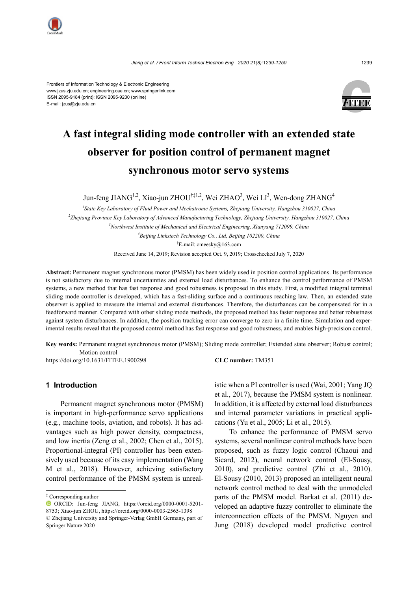

Frontiers of Information Technology & Electronic Engineering www.jzus.zju.edu.cn; engineering.cae.cn; www.springerlink.com ISSN 2095-9184 (print); ISSN 2095-9230 (online) E-mail: jzus@zju.edu.cn



# **A fast integral sliding mode controller with an extended state observer for position control of permanent magnet synchronous motor servo systems**

Jun-feng JIAN $G^{1,2}$ , Xiao-jun ZHOU $^{\dagger\ddagger1,2}$ , Wei ZHAO<sup>3</sup>, Wei LI<sup>3</sup>, Wen-dong ZHAN $G^4$ 

 *State Key Laboratory of Fluid Power and Mechatronic Systems, Zhejiang University, Hangzhou 310027, China Zhejiang Province Key Laboratory of Advanced Manufacturing Technology, Zhejiang University, Hangzhou 310027, China Northwest Institute of Mechanical and Electrical Engineering, Xianyang 712099, China Beijing Linkstech Technology Co., Ltd, Beijing 102200, China* † E-mail: cmeesky@163.com

Received June 14, 2019; Revision accepted Oct. 9, 2019; Crosschecked July 7, 2020

**Abstract:** Permanent magnet synchronous motor (PMSM) has been widely used in position control applications. Its performance is not satisfactory due to internal uncertainties and external load disturbances. To enhance the control performance of PMSM systems, a new method that has fast response and good robustness is proposed in this study. First, a modified integral terminal sliding mode controller is developed, which has a fast-sliding surface and a continuous reaching law. Then, an extended state observer is applied to measure the internal and external disturbances. Therefore, the disturbances can be compensated for in a feedforward manner. Compared with other sliding mode methods, the proposed method has faster response and better robustness against system disturbances. In addition, the position tracking error can converge to zero in a finite time. Simulation and experimental results reveal that the proposed control method has fast response and good robustness, and enables high-precision control.

**Key words:** Permanent magnet synchronous motor (PMSM); Sliding mode controller; Extended state observer; Robust control; Motion control

https://doi.org/10.1631/FITEE.1900298 **CLC number:** TM351

# **1 Introduction**

Permanent magnet synchronous motor (PMSM) is important in high-performance servo applications (e.g., machine tools, aviation, and robots). It has advantages such as high power density, compactness, and low inertia (Zeng et al., 2002; Chen et al., 2015). Proportional-integral (PI) controller has been extensively used because of its easy implementation (Wang M et al., 2018). However, achieving satisfactory control performance of the PMSM system is unreal-

istic when a PI controller is used (Wai, 2001; Yang JQ et al., 2017), because the PMSM system is nonlinear. In addition, it is affected by external load disturbances and internal parameter variations in practical applications (Yu et al., 2005; Li et al., 2015).

To enhance the performance of PMSM servo systems, several nonlinear control methods have been proposed, such as fuzzy logic control (Chaoui and Sicard, 2012), neural network control (El-Sousy, 2010), and predictive control (Zhi et al., 2010). El-Sousy (2010, 2013) proposed an intelligent neural network control method to deal with the unmodeled parts of the PMSM model. Barkat et al. (2011) developed an adaptive fuzzy controller to eliminate the interconnection effects of the PMSM. Nguyen and Jung (2018) developed model predictive control

<sup>‡</sup> Corresponding author

ORCID: Jun-feng JIANG, https://orcid.org/0000-0001-5201- 8753; Xiao-jun ZHOU[, https://orcid.org/0](http://orcid.org/0000-0002-6574-1542)000-0003-2565-1398 © Zhejiang University and Springer-Verlag GmbH Germany, part of Springer Nature 2020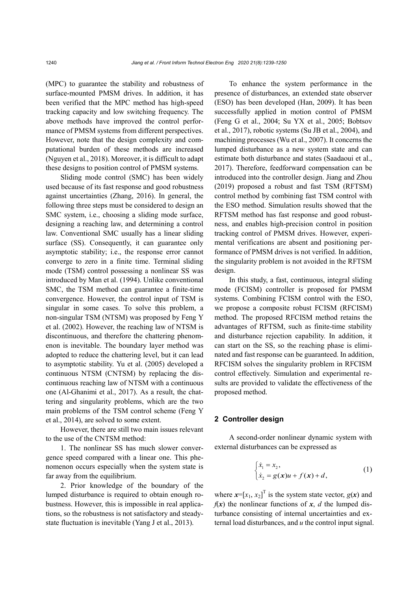(MPC) to guarantee the stability and robustness of surface-mounted PMSM drives. In addition, it has been verified that the MPC method has high-speed tracking capacity and low switching frequency. The above methods have improved the control performance of PMSM systems from different perspectives. However, note that the design complexity and computational burden of these methods are increased (Nguyen et al., 2018). Moreover, it is difficult to adapt these designs to position control of PMSM systems.

Sliding mode control (SMC) has been widely used because of its fast response and good robustness against uncertainties (Zhang, 2016). In general, the following three steps must be considered to design an SMC system, i.e., choosing a sliding mode surface, designing a reaching law, and determining a control law. Conventional SMC usually has a linear sliding surface (SS). Consequently, it can guarantee only asymptotic stability; i.e., the response error cannot converge to zero in a finite time. Terminal sliding mode (TSM) control possessing a nonlinear SS was introduced by Man et al. (1994). Unlike conventional SMC, the TSM method can guarantee a finite-time convergence. However, the control input of TSM is singular in some cases. To solve this problem, a non-singular TSM (NTSM) was proposed by Feng Y et al. (2002). However, the reaching law of NTSM is discontinuous, and therefore the chattering phenomenon is inevitable. The boundary layer method was adopted to reduce the chattering level, but it can lead to asymptotic stability. Yu et al. (2005) developed a continuous NTSM (CNTSM) by replacing the discontinuous reaching law of NTSM with a continuous one (Al-Ghanimi et al., 2017). As a result, the chattering and singularity problems, which are the two main problems of the TSM control scheme (Feng Y et al., 2014), are solved to some extent.

However, there are still two main issues relevant to the use of the CNTSM method:

1. The nonlinear SS has much slower convergence speed compared with a linear one. This phenomenon occurs especially when the system state is far away from the equilibrium.

2. Prior knowledge of the boundary of the lumped disturbance is required to obtain enough robustness. However, this is impossible in real applications, so the robustness is not satisfactory and steadystate fluctuation is inevitable (Yang J et al., 2013).

To enhance the system performance in the presence of disturbances, an extended state observer (ESO) has been developed (Han, 2009). It has been successfully applied in motion control of PMSM (Feng G et al., 2004; Su YX et al., 2005; Bobtsov et al., 2017), robotic systems (Su JB et al., 2004), and machining processes (Wu et al., 2007). It concerns the lumped disturbance as a new system state and can estimate both disturbance and states (Saadaoui et al., 2017). Therefore, feedforward compensation can be introduced into the controller design. Jiang and Zhou (2019) proposed a robust and fast TSM (RFTSM) control method by combining fast TSM control with the ESO method. Simulation results showed that the RFTSM method has fast response and good robustness, and enables high-precision control in position tracking control of PMSM drives. However, experimental verifications are absent and positioning performance of PMSM drives is not verified. In addition, the singularity problem is not avoided in the RFTSM design.

In this study, a fast, continuous, integral sliding mode (FCISM) controller is proposed for PMSM systems. Combining FCISM control with the ESO, we propose a composite robust FCISM (RFCISM) method. The proposed RFCISM method retains the advantages of RFTSM, such as finite-time stability and disturbance rejection capability. In addition, it can start on the SS, so the reaching phase is eliminated and fast response can be guaranteed. In addition, RFCISM solves the singularity problem in RFCISM control effectively. Simulation and experimental results are provided to validate the effectiveness of the proposed method.

## **2 Controller design**

A second-order nonlinear dynamic system with external disturbances can be expressed as

$$
\begin{cases} \dot{x}_1 = x_2, \\ \dot{x}_2 = g(x)u + f(x) + d, \end{cases} (1)
$$

where  $\mathbf{x} = [x_1, x_2]^\text{T}$  is the system state vector,  $g(\mathbf{x})$  and  $f(x)$  the nonlinear functions of *x*, *d* the lumped disturbance consisting of internal uncertainties and external load disturbances, and *u* the control input signal.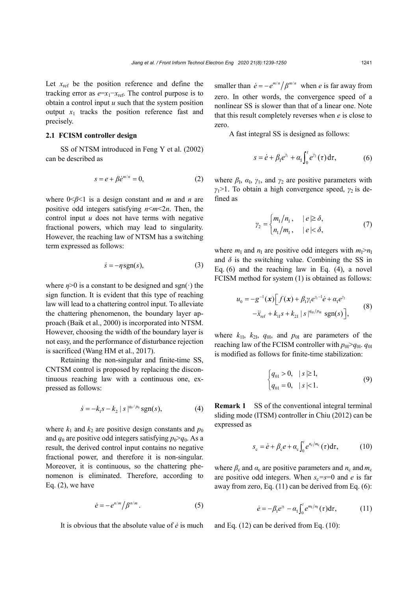Let  $x_{ref}$  be the position reference and define the tracking error as  $e=x_1-x_{ref}$ . The control purpose is to obtain a control input *u* such that the system position output  $x_1$  tracks the position reference fast and precisely.

## **2.1 FCISM controller design**

SS of NTSM introduced in Feng Y et al. (2002) can be described as

$$
s = e + \beta \dot{e}^{m/n} = 0,\tag{2}
$$

where 0<*β*<1 is a design constant and *m* and *n* are positive odd integers satisfying  $n \le m \le 2n$ . Then, the control input *u* does not have terms with negative fractional powers, which may lead to singularity. However, the reaching law of NTSM has a switching term expressed as follows:

$$
\dot{s} = -\eta \, \text{sgn}(s),\tag{3}
$$

where  $\eta$ >0 is a constant to be designed and sgn(·) the sign function. It is evident that this type of reaching law will lead to a chattering control input. To alleviate the chattering phenomenon, the boundary layer approach (Baik et al., 2000) is incorporated into NTSM. However, choosing the width of the boundary layer is not easy, and the performance of disturbance rejection is sacrificed (Wang HM et al., 2017).

Retaining the non-singular and finite-time SS, CNTSM control is proposed by replacing the discontinuous reaching law with a continuous one, expressed as follows:

$$
\dot{s} = -k_1 s - k_2 |s|^{q_0/p_0} \text{sgn}(s), \tag{4}
$$

where  $k_1$  and  $k_2$  are positive design constants and  $p_0$ and  $q_0$  are positive odd integers satisfying  $p_0 > q_0$ . As a result, the derived control input contains no negative fractional power, and therefore it is non-singular. Moreover, it is continuous, so the chattering phenomenon is eliminated. Therefore, according to Eq.  $(2)$ , we have

$$
\dot{e} = -e^{n/m} / \beta^{n/m} \,. \tag{5}
$$

It is obvious that the absolute value of *ė* is much

smaller than  $\dot{e} = -e^{m/n} / \beta^{m/n}$  when *e* is far away from zero. In other words, the convergence speed of a nonlinear SS is slower than that of a linear one. Note that this result completely reverses when *e* is close to zero.

A fast integral SS is designed as follows:

$$
s = \dot{e} + \beta_1 e^{\gamma_1} + \alpha_1 \int_0^t e^{\gamma_2}(\tau) d\tau, \qquad (6)
$$

where  $\beta_{\rm I}$ ,  $\alpha_{\rm I}$ ,  $\gamma_{\rm I}$ , and  $\gamma_{\rm 2}$  are positive parameters with *γ*1>1. To obtain a high convergence speed, *γ*2 is defined as

$$
\gamma_2 = \begin{cases} m_1/n_1, & |e| \ge \delta, \\ n_1/m_1, & |e| < \delta, \end{cases} \tag{7}
$$

where  $m<sub>I</sub>$  and  $n<sub>I</sub>$  are positive odd integers with  $m<sub>I</sub> > n<sub>I</sub>$ and  $\delta$  is the switching value. Combining the SS in Eq. (6) and the reaching law in Eq. (4), a novel FCISM method for system (1) is obtained as follows:

$$
u_0 = -g^{-1}(x)\Big[f(x) + \beta_1 \gamma_1 e^{\gamma_1 - 1} \dot{e} + \alpha_1 e^{\gamma_2} -\ddot{x}_{\text{ref}} + k_{11} s + k_{21} |s|^{q_{01}/p_{01}} \text{sgn}(s)\Big],
$$
 (8)

where  $k_{11}$ ,  $k_{21}$ ,  $q_{01}$ , and  $p_{01}$  are parameters of the reaching law of the FCISM controller with  $p_{0}$ <sup> $>q_{0}$ </sup>.  $q_{0}$ is modified as follows for finite-time stabilization:

$$
\begin{cases} q_{01} > 0, & |s| \ge 1, \\ q_{01} = 0, & |s| < 1. \end{cases}
$$
 (9)

**Remark 1** SS of the conventional integral terminal sliding mode (ITSM) controller in Chiu (2012) can be expressed as

$$
s_{c} = \dot{e} + \beta_{c} e + \alpha_{c} \int_{0}^{t} e^{n_{c}/m_{c}}(\tau) d\tau, \qquad (10)
$$

where  $\beta_c$  and  $\alpha_c$  are positive parameters and  $n_c$  and  $m_c$ are positive odd integers. When  $s_c = s = 0$  and *e* is far away from zero, Eq. (11) can be derived from Eq. (6):

$$
\dot{e} = -\beta_1 e^{\eta_1} - \alpha_1 \int_0^t e^{m_1/n_1}(\tau) d\tau, \qquad (11)
$$

and Eq. (12) can be derived from Eq. (10):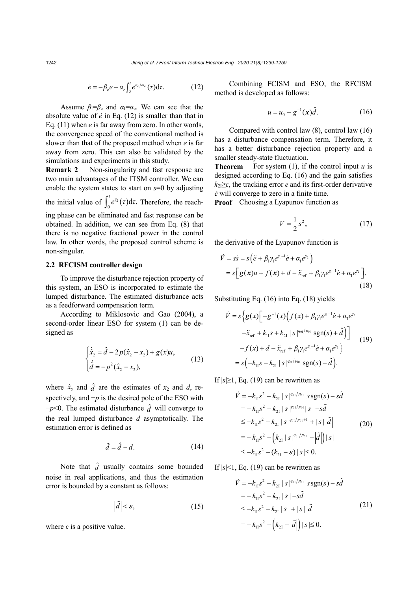$$
\dot{e} = -\beta_{\rm c} e - \alpha_{\rm c} \int_0^t e^{n_{\rm c}/m_{\rm c}} (\tau) d\tau.
$$
 (12)

Assume  $\beta_1 = \beta_c$  and  $\alpha_1 = \alpha_c$ . We can see that the absolute value of *ė* in Eq. (12) is smaller than that in Eq. (11) when *e* is far away from zero. In other words, the convergence speed of the conventional method is slower than that of the proposed method when *e* is far away from zero. This can also be validated by the simulations and experiments in this study.

**Remark 2** Non-singularity and fast response are two main advantages of the ITSM controller. We can enable the system states to start on *s*=0 by adjusting the initial value of  $\int_0^t e^{y_2}(\tau) d\tau$ . Therefore, the reaching phase can be eliminated and fast response can be obtained. In addition, we can see from Eq. (8) that there is no negative fractional power in the control law. In other words, the proposed control scheme is

## **2.2 RFCISM controller design**

non-singular.

To improve the disturbance rejection property of this system, an ESO is incorporated to estimate the lumped disturbance. The estimated disturbance acts as a feedforward compensation term.

According to Miklosovic and Gao (2004), a second-order linear ESO for system (1) can be designed as

$$
\begin{cases} \dot{\hat{x}}_2 = \hat{d} - 2p(\hat{x}_2 - x_2) + g(x)u, \\ \dot{\hat{d}} = -p^2(\hat{x}_2 - x_2), \end{cases}
$$
 (13)

where  $\hat{x}_2$  and  $\hat{d}$  are the estimates of  $x_2$  and  $d$ , respectively, and −*p* is the desired pole of the ESO with  $-p<0$ . The estimated disturbance  $\hat{d}$  will converge to the real lumped disturbance *d* asymptotically. The estimation error is defined as

$$
\tilde{d} = \hat{d} - d. \tag{14}
$$

Note that  $\hat{d}$  usually contains some bounded noise in real applications, and thus the estimation error is bounded by a constant as follows:

$$
\left|\tilde{d}\right| < \varepsilon,\tag{15}
$$

where  $\varepsilon$  is a positive value.

Combining FCISM and ESO, the RFCISM method is developed as follows:

$$
u = u_0 - g^{-1}(x)\hat{d}.
$$
 (16)

Compared with control law (8), control law (16) has a disturbance compensation term. Therefore, it has a better disturbance rejection property and a smaller steady-state fluctuation.

**Theorem** For system (1), if the control input  $u$  is designed according to Eq. (16) and the gain satisfies  $k_{2} \geq \varepsilon$ , the tracking error *e* and its first-order derivative *ė* will converge to zero in a finite time.

**Proof** Choosing a Lyapunov function as

$$
V = \frac{1}{2}s^2,\tag{17}
$$

the derivative of the Lyapunov function is

$$
\dot{V} = s\dot{s} = s\left(\ddot{e} + \beta_1 \gamma_1 e^{\gamma_1 - 1} \dot{e} + \alpha_1 e^{\gamma_2}\right)
$$
  
=  $s\left[g(x)u + f(x) + d - \ddot{x}_{ref} + \beta_1 \gamma_1 e^{\gamma_1 - 1} \dot{e} + \alpha_1 e^{\gamma_2}\right].$  (18)

Substituting Eq. (16) into Eq. (18) yields

$$
\dot{V} = s \Big\{ g(x) \Big[ -g^{-1}(x) \Big( f(x) + \beta_1 \gamma_1 e^{\gamma_1 - 1} \dot{e} + \alpha_1 e^{\gamma_2} -\ddot{x}_{\text{ref}} + k_{11} s + k_{21} |s|^{q_{01}/p_{01}} \text{sgn}(s) + \hat{d} \Big) \Big] + f(x) + d - \ddot{x}_{\text{ref}} + \beta_1 \gamma_1 e^{\gamma_1 - 1} \dot{e} + \alpha_1 e^{\gamma_2} \Big\} = s \Big( -k_{11} s - k_{21} |s|^{q_{01}/p_{01}} \text{sgn}(s) - \tilde{d} \Big).
$$
\n(19)

If  $|s|\geq 1$ , Eq. (19) can be rewritten as

$$
\dot{V} = -k_{11}s^2 - k_{21} |s|^{q_{01}/p_{01}} s \operatorname{sgn}(s) - s\tilde{d}
$$
  
\n
$$
= -k_{11}s^2 - k_{21} |s|^{q_{01}/p_{01}} |s| - s\tilde{d}
$$
  
\n
$$
\leq -k_{11}s^2 - k_{21} |s|^{q_{01}/p_{01}+1} + |s| |\tilde{d}|
$$
  
\n
$$
= -k_{11}s^2 - (k_{21} |s|^{q_{01}/p_{01}} - |\tilde{d}|) |s|
$$
  
\n
$$
\leq -k_{11}s^2 - (k_{21} - \varepsilon) |s| \leq 0.
$$
\n(20)

If  $|s|$ <1, Eq. (19) can be rewritten as

$$
\dot{V} = -k_{11}s^2 - k_{21} |s|^{q_{01}/p_{01}} s \text{sgn}(s) - s\tilde{d}
$$
  
=  $-k_{11}s^2 - k_{21} |s| - s\tilde{d}$   
 $\leq -k_{11}s^2 - k_{21} |s| + |s| |\tilde{d}|$  (21)  
=  $-k_{11}s^2 - (k_{21} - |\tilde{d}|) |s| \leq 0.$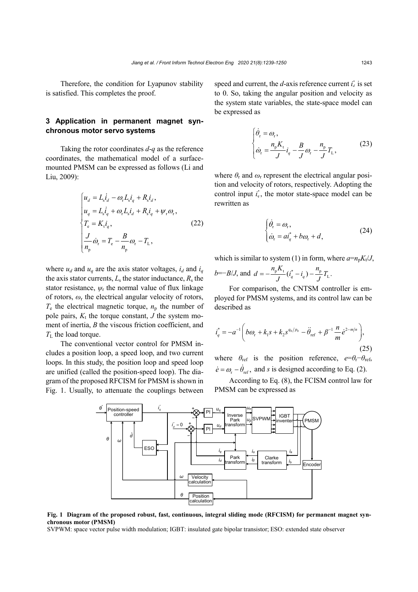Therefore, the condition for Lyapunov stability is satisfied. This completes the proof.

# **3 Application in permanent magnet synchronous motor servo systems**

Taking the rotor coordinates *d*-*q* as the reference coordinates, the mathematical model of a surfacemounted PMSM can be expressed as follows (Li and Liu, 2009):

$$
\begin{cases}\n u_d = L_s \dot{I}_d - \omega_r L_s i_q + R_s i_d, \\
 u_q = L_s \dot{I}_q + \omega_r L_s i_d + R_s i_q + \psi_r \omega_r, \\
 T_e = K_t i_q, \\
 \frac{J}{n_p} \dot{\omega}_r = T_e - \frac{B}{n_p} \omega_r - T_L,\n\end{cases} (22)
$$

where  $u_d$  and  $u_q$  are the axis stator voltages,  $i_d$  and  $i_q$ the axis stator currents,  $L_s$  the stator inductance,  $R_s$  the stator resistance,  $\psi_r$  the normal value of flux linkage of rotors, *ω*<sup>r</sup> the electrical angular velocity of rotors,  $T_e$  the electrical magnetic torque,  $n_p$  the number of pole pairs,  $K_t$  the torque constant,  $J$  the system moment of inertia, *B* the viscous friction coefficient, and  $T_{\rm L}$  the load torque.

The conventional vector control for PMSM includes a position loop, a speed loop, and two current loops. In this study, the position loop and speed loop are unified (called the position-speed loop). The diagram of the proposed RFCISM for PMSM is shown in Fig. 1. Usually, to attenuate the couplings between

speed and current, the  $d$ -axis reference current  $i_d^*$  is set to 0. So, taking the angular position and velocity as the system state variables, the state-space model can be expressed as

$$
\begin{cases}\n\dot{\theta}_{\rm r} = \omega_{\rm r}, \\
\dot{\omega}_{\rm r} = \frac{n_{\rm p} K_{\rm t}}{J} i_q - \frac{B}{J} \omega_{\rm r} - \frac{n_{\rm p}}{J} T_{\rm L},\n\end{cases} \tag{23}
$$

where  $\theta_r$  and  $\omega_r$  represent the electrical angular position and velocity of rotors, respectively. Adopting the control input  $i_q^*$ , the motor state-space model can be rewritten as

$$
\begin{cases} \dot{\theta}_{\rm r} = \omega_{\rm r}, \\ \dot{\omega}_{\rm r} = a i_{q}^{*} + b \omega_{\rm r} + d, \end{cases}
$$
 (24)

which is similar to system (1) in form, where  $a=n_pK_t/J$ ,

$$
b=-B/J
$$
, and  $d=-\frac{n_p K_t}{J}(i_q^* - i_q) - \frac{n_p}{J}T_L$ .

For comparison, the CNTSM controller is employed for PMSM systems, and its control law can be described as

$$
i_q^* = -a^{-1} \left( b\omega_r + k_1 s + k_2 s^{q_0/p_0} - \ddot{\theta}_{\text{ref}} + \beta^{-1} \frac{n}{m} \dot{e}^{2-m/n} \right),\tag{25}
$$

where  $\theta_{ref}$  is the position reference,  $e=\theta_f-\theta_{ref}$ ,  $\dot{e} = \omega_r - \dot{\theta}_{ref}$ , and *s* is designed according to Eq. (2).

According to Eq. (8), the FCISM control law for PMSM can be expressed as



**Fig. 1 Diagram of the proposed robust, fast, continuous, integral sliding mode (RFCISM) for permanent magnet synchronous motor (PMSM)**

SVPWM: space vector pulse width modulation; IGBT: insulated gate bipolar transistor; ESO: extended state observer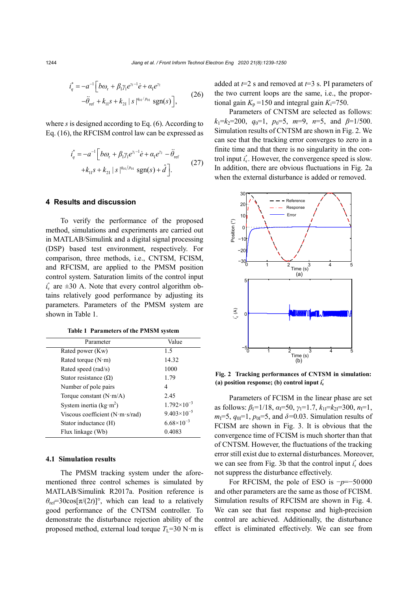$$
i_q^* = -a^{-1} \Big[ b\omega_r + \beta_1 \gamma_1 e^{\gamma_1 - 1} \dot{e} + \alpha_1 e^{\gamma_2} -\ddot{\theta}_{\text{ref}} + k_{11} s + k_{21} |s|^{q_{01}/p_{01}} \text{sgn}(s) \Big],
$$
 (26)

where *s* is designed according to Eq. (6). According to Eq. (16), the RFCISM control law can be expressed as

$$
i_q^* = -a^{-1} \Big[ b\omega_r + \beta_1 \gamma_1 e^{\gamma_1 - 1} \dot{e} + \alpha_1 e^{\gamma_2} - \ddot{\theta}_{ref} + k_{11} s + k_{21} |s|^{q_{01}/p_{01}} sgn(s) + \hat{d} \Big].
$$
 (27)

## **4 Results and discussion**

To verify the performance of the proposed method, simulations and experiments are carried out in MATLAB/Simulink and a digital signal processing (DSP) based test environment, respectively. For comparison, three methods, i.e., CNTSM, FCISM, and RFCISM, are applied to the PMSM position control system. Saturation limits of the control input  $i_q^*$  are  $\pm 30$  A. Note that every control algorithm obtains relatively good performance by adjusting its parameters. Parameters of the PMSM system are shown in Table 1.

**Table 1 Parameters of the PMSM system**

| Parameter                                 | Value                |
|-------------------------------------------|----------------------|
| Rated power (Kw)                          | 1.5                  |
| Rated torque $(N \cdot m)$                | 14.32                |
| Rated speed (rad/s)                       | 1000                 |
| Stator resistance $(\Omega)$              | 1.79                 |
| Number of pole pairs                      | 4                    |
| Torque constant $(N \cdot m/A)$           | 2.45                 |
| System inertia ( $kg \cdot m^2$ )         | $1.792\times10^{-3}$ |
| Viscous coefficient $(N \text{ m s/rad})$ | $9.403\times10^{-5}$ |
| Stator inductance (H)                     | $6.68\times10^{-3}$  |
| Flux linkage (Wb)                         | 0.4083               |

# **4.1 Simulation results**

The PMSM tracking system under the aforementioned three control schemes is simulated by MATLAB/Simulink R2017a. Position reference is  $\theta_{\text{ref}}$ =30cos[ $\pi/(2t)$ ]°, which can lead to a relatively good performance of the CNTSM controller. To demonstrate the disturbance rejection ability of the proposed method, external load torque  $T_L$ =30 N·m is added at *t*=2 s and removed at *t*=3 s. PI parameters of the two current loops are the same, i.e., the proportional gain  $K_p = 150$  and integral gain  $K_i = 750$ .

Parameters of CNTSM are selected as follows:  $k_1 = k_2 = 200$ ,  $q_0 = 1$ ,  $p_0 = 5$ ,  $m = 9$ ,  $n = 5$ , and  $\beta = 1/500$ . Simulation results of CNTSM are shown in Fig. 2. We can see that the tracking error converges to zero in a finite time and that there is no singularity in the control input  $i_q^*$ . However, the convergence speed is slow. In addition, there are obvious fluctuations in Fig. 2a when the external disturbance is added or removed.



**Fig. 2 Tracking performances of CNTSM in simulation:**  (a) position response; (b) control input  $\vec{i}_q$ 

Parameters of FCISM in the linear phase are set as follows:  $\beta_1 = 1/18$ ,  $\alpha_1 = 50$ ,  $\gamma_1 = 1.7$ ,  $k_{11} = k_{21} = 300$ ,  $n_1 = 1$ ,  $m_1=5$ ,  $q_{01}=1$ ,  $p_{01}=5$ , and  $\delta=0.03$ . Simulation results of FCISM are shown in Fig. 3. It is obvious that the convergence time of FCISM is much shorter than that of CNTSM. However, the fluctuations of the tracking error still exist due to external disturbances. Moreover, we can see from Fig. 3b that the control input  $i_q^*$  does not suppress the disturbance effectively.

For RFCISM, the pole of ESO is −*p*=−50 000 and other parameters are the same as those of FCISM. Simulation results of RFCISM are shown in Fig. 4. We can see that fast response and high-precision control are achieved. Additionally, the disturbance effect is eliminated effectively. We can see from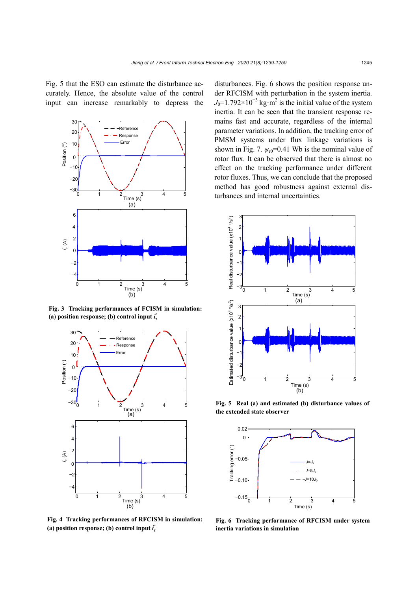Fig. 5 that the ESO can estimate the disturbance accurately. Hence, the absolute value of the control input can increase remarkably to depress the



**Fig. 3 Tracking performances of FCISM in simulation:** (a) position response; (b) control input  $\vec{i}_q$ 



**Fig. 4 Tracking performances of RFCISM in simulation:** (a) position response; (b) control input  $\vec{i}_q$ 

disturbances. Fig. 6 shows the position response under RFCISM with perturbation in the system inertia.  $J_0$ =1.792×10<sup>-3</sup> kg⋅m<sup>2</sup> is the initial value of the system inertia. It can be seen that the transient response remains fast and accurate, regardless of the internal parameter variations. In addition, the tracking error of PMSM systems under flux linkage variations is shown in Fig. 7.  $\psi_{r0}$ =0.41 Wb is the nominal value of rotor flux. It can be observed that there is almost no effect on the tracking performance under different rotor fluxes. Thus, we can conclude that the proposed method has good robustness against external dis- $\frac{3}{1}$   $\frac{4}{1}$   $\frac{5}{2}$  turbances and internal uncertainties.



**Fig. 5 Real (a) and estimated (b) disturbance values of the extended state observer**



**Fig. 6 Tracking performance of RFCISM under system inertia variations in simulation**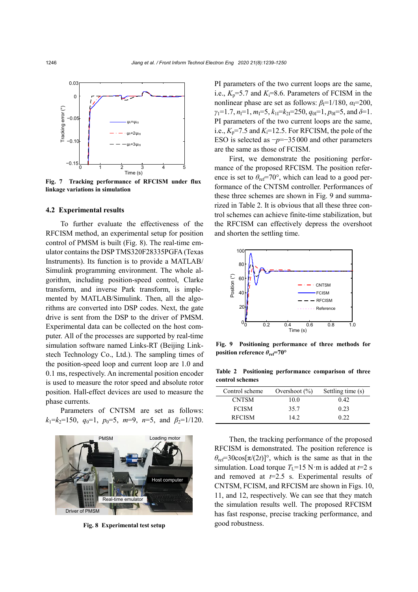

**Fig. 7 Tracking performance of RFCISM under flux linkage variations in simulation**

#### **4.2 Experimental results**

To further evaluate the effectiveness of the RFCISM method, an experimental setup for position control of PMSM is built (Fig. 8). The real-time emulator contains the DSP TMS320F28335PGFA (Texas Instruments). Its function is to provide a MATLAB/ Simulink programming environment. The whole algorithm, including position-speed control, Clarke transform, and inverse Park transform, is implemented by MATLAB/Simulink. Then, all the algorithms are converted into DSP codes. Next, the gate drive is sent from the DSP to the driver of PMSM. Experimental data can be collected on the host computer. All of the processes are supported by real-time simulation software named Links-RT (Beijing Linkstech Technology Co., Ltd.). The sampling times of the position-speed loop and current loop are 1.0 and 0.1 ms, respectively. An incremental position encoder is used to measure the rotor speed and absolute rotor position. Hall-effect devices are used to measure the phase currents.

Parameters of CNTSM are set as follows:  $k_1=k_2=150$ ,  $q_0=1$ ,  $p_0=5$ ,  $m=9$ ,  $n=5$ , and  $\beta_2=1/120$ .



**Fig. 8 Experimental test setup**

PI parameters of the two current loops are the same, i.e.,  $K_p = 5.7$  and  $K_i = 8.6$ . Parameters of FCISM in the nonlinear phase are set as follows:  $\beta_1=1/180$ ,  $\alpha_1=200$ ,  $\gamma_1=1.7$ ,  $n_1=1$ ,  $m_1=5$ ,  $k_{11}=k_{21}=250$ ,  $q_{01}=1$ ,  $p_{01}=5$ , and  $\delta=1$ . PI parameters of the two current loops are the same, i.e.,  $K_p$ =7.5 and  $K_i$ =12.5. For RFCISM, the pole of the ESO is selected as −*p*=−35 000 and other parameters are the same as those of FCISM.

First, we demonstrate the positioning performance of the proposed RFCISM. The position reference is set to  $\theta_{\text{ref}}$ =70°, which can lead to a good performance of the CNTSM controller. Performances of these three schemes are shown in Fig. 9 and summarized in Table 2. It is obvious that all these three control schemes can achieve finite-time stabilization, but the RFCISM can effectively depress the overshoot and shorten the settling time.



**Fig. 9 Positioning performance of three methods for position reference** *θ***ref=70°**

**Table 2 Positioning performance comparison of three control schemes**

| Control scheme | Overshoot $(\% )$ | Settling time (s) |
|----------------|-------------------|-------------------|
| <b>CNTSM</b>   | 10.0              | 042               |
| <b>FCISM</b>   | 35.7              | 0.23              |
| <b>RFCISM</b>  | 14.2              | 0.22              |

Then, the tracking performance of the proposed RFCISM is demonstrated. The position reference is  $\theta_{\text{ref}}$ =30cos[ $\pi/(2t)$ ]°, which is the same as that in the simulation. Load torque  $T_1=15$  N·m is added at  $t=2$  s and removed at *t*=2.5 s. Experimental results of CNTSM, FCISM, and RFCISM are shown in Figs. 10, 11, and 12, respectively. We can see that they match the simulation results well. The proposed RFCISM has fast response, precise tracking performance, and good robustness.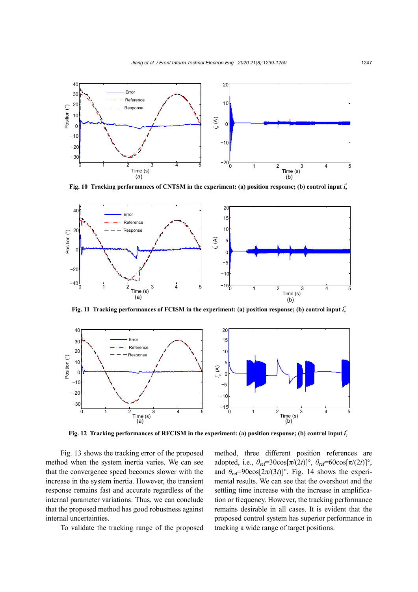

**Fig. 10** Tracking performances of CNTSM in the experiment: (a) position response; (b) control input *i*<sub>*i*</sub>



Fig. 11 Tracking performances of FCISM in the experiment: (a) position response; (b) control input  $i_q^*$ 



Fig. 12 Tracking performances of RFCISM in the experiment: (a) position response; (b) control input *i*<sub>*i*</sub>

Fig. 13 shows the tracking error of the proposed method when the system inertia varies. We can see that the convergence speed becomes slower with the increase in the system inertia. However, the transient response remains fast and accurate regardless of the internal parameter variations. Thus, we can conclude that the proposed method has good robustness against internal uncertainties.

To validate the tracking range of the proposed

method, three different position references are adopted, i.e.,  $\theta_{\text{ref}}$ =30cos[ $\pi/(2t)$ ]°,  $\theta_{\text{ref}}$ =60cos[ $\pi/(2t)$ ]°, and  $\theta_{\text{ref}} = 90\cos[2\pi/(3t)]^{\circ}$ . Fig. 14 shows the experimental results. We can see that the overshoot and the settling time increase with the increase in amplification or frequency. However, the tracking performance remains desirable in all cases. It is evident that the proposed control system has superior performance in tracking a wide range of target positions.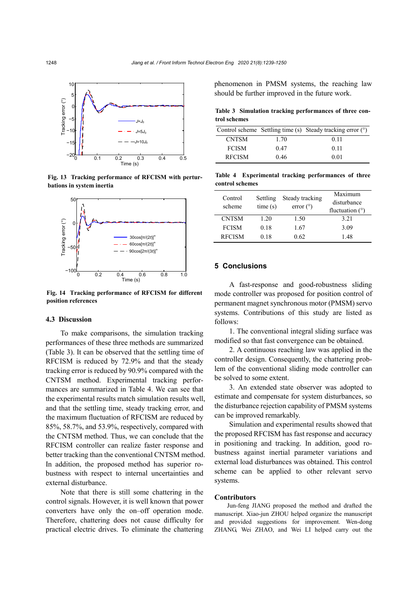

**Fig. 13 Tracking performance of RFCISM with perturbations in system inertia**



**Fig. 14 Tracking performance of RFCISM for different position references**

#### **4.3 Discussion**

To make comparisons, the simulation tracking performances of these three methods are summarized (Table 3). It can be observed that the settling time of RFCISM is reduced by 72.9% and that the steady tracking error is reduced by 90.9% compared with the CNTSM method. Experimental tracking performances are summarized in Table 4. We can see that the experimental results match simulation results well, and that the settling time, steady tracking error, and the maximum fluctuation of RFCISM are reduced by 85%, 58.7%, and 53.9%, respectively, compared with the CNTSM method. Thus, we can conclude that the RFCISM controller can realize faster response and better tracking than the conventional CNTSM method. In addition, the proposed method has superior robustness with respect to internal uncertainties and external disturbance.

Note that there is still some chattering in the control signals. However, it is well known that power converters have only the on–off operation mode. Therefore, chattering does not cause difficulty for practical electric drives. To eliminate the chattering

phenomenon in PMSM systems, the reaching law should be further improved in the future work.

**Table 3 Simulation tracking performances of three control schemes**

|               |      | Control scheme Settling time (s) Steady tracking error (°) |
|---------------|------|------------------------------------------------------------|
| <b>CNTSM</b>  | 1.70 | 0.11                                                       |
| <b>FCISM</b>  | 0.47 | 011                                                        |
| <b>RFCISM</b> | 0.46 | 0.01                                                       |

**Table 4 Experimental tracking performances of three control schemes**

| Control<br>scheme | Settling<br>time(s) | Steady tracking<br>error $(^\circ)$ | Maximum<br>disturbance<br>fluctuation $(°)$ |
|-------------------|---------------------|-------------------------------------|---------------------------------------------|
| <b>CNTSM</b>      | 1 20                | 1.50                                | 3 2 1                                       |
| <b>FCISM</b>      | 0.18                | 1.67                                | 3.09                                        |
| <b>RFCISM</b>     | 0.18                | 0.62                                | 148                                         |

## **5 Conclusions**

A fast-response and good-robustness sliding mode controller was proposed for position control of permanent magnet synchronous motor (PMSM) servo systems. Contributions of this study are listed as follows:

1. The conventional integral sliding surface was modified so that fast convergence can be obtained.

2. A continuous reaching law was applied in the controller design. Consequently, the chattering problem of the conventional sliding mode controller can be solved to some extent.

3. An extended state observer was adopted to estimate and compensate for system disturbances, so the disturbance rejection capability of PMSM systems can be improved remarkably.

Simulation and experimental results showed that the proposed RFCISM has fast response and accuracy in positioning and tracking. In addition, good robustness against inertial parameter variations and external load disturbances was obtained. This control scheme can be applied to other relevant servo systems.

### **Contributors**

Jun-feng JIANG proposed the method and drafted the manuscript. Xiao-jun ZHOU helped organize the manuscript and provided suggestions for improvement. Wen-dong ZHANG, Wei ZHAO, and Wei LI helped carry out the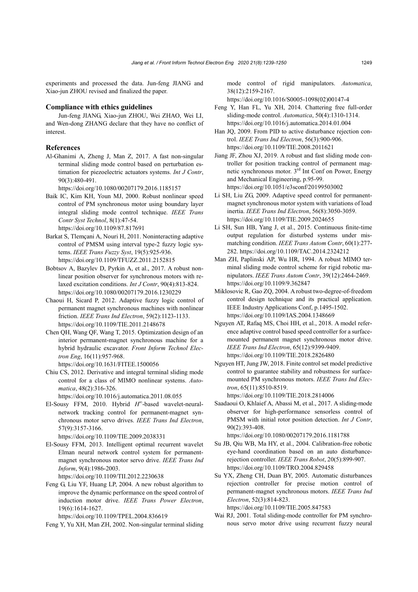experiments and processed the data. Jun-feng JIANG and Xiao-jun ZHOU revised and finalized the paper.

#### **Compliance with ethics guidelines**

Jun-feng JIANG, Xiao-jun ZHOU, Wei ZHAO, Wei LI, and Wen-dong ZHANG declare that they have no conflict of interest.

#### **References**

Al-Ghanimi A, Zheng J, Man Z, 2017. A fast non-singular terminal sliding mode control based on perturbation estimation for piezoelectric actuators systems. *Int J Contr*, 90(3):480-491.

https://doi.org/10.1080/00207179.2016.1185157

- Baik IC, Kim KH, Youn MJ, 2000. Robust nonlinear speed control of PM synchronous motor using boundary layer integral sliding mode control technique. *IEEE Trans Contr Syst Technol*, 8(1):47-54. https://doi.org/10.1109/87.817691
- Barkat S, Tlemçani A, Nouri H, 2011. Noninteracting adaptive control of PMSM using interval type-2 fuzzy logic systems. *IEEE Trans Fuzzy Syst*, 19(5):925-936. https://doi.org/10.1109/TFUZZ.2011.2152815
- Bobtsov A, Bazylev D, Pyrkin A, et al., 2017. A robust nonlinear position observer for synchronous motors with relaxed excitation conditions. *Int J Contr*, 90(4):813-824. https://doi.org/10.1080/00207179.2016.1230229
- Chaoui H, Sicard P, 2012. Adaptive fuzzy logic control of permanent magnet synchronous machines with nonlinear friction. *IEEE Trans Ind Electron*, 59(2):1123-1133. https://doi.org/10.1109/TIE.2011.2148678
- Chen QH, Wang QF, Wang T, 2015. Optimization design of an interior permanent-magnet synchronous machine for a hybrid hydraulic excavator. *Front Inform Technol Electron Eng*, 16(11):957-968. https://doi.org/10.1631/FITEE.1500056
- Chiu CS, 2012. Derivative and integral terminal sliding mode control for a class of MIMO nonlinear systems. *Automatica*, 48(2):316-326.

https://doi.org/10.1016/j.automatica.2011.08.055

El-Sousy FFM, 2010. Hybrid *H*<sup>∞</sup>-based wavelet-neuralnetwork tracking control for permanent-magnet synchronous motor servo drives. *IEEE Trans Ind Electron*, 57(9):3157-3166.

https://doi.org/10.1109/TIE.2009.2038331

El-Sousy FFM, 2013. Intelligent optimal recurrent wavelet Elman neural network control system for permanentmagnet synchronous motor servo drive. *IEEE Trans Ind Inform*, 9(4):1986-2003.

https://doi.org/10.1109/TII.2012.2230638

Feng G, Liu YF, Huang LP, 2004. A new robust algorithm to improve the dynamic performance on the speed control of induction motor drive. *IEEE Trans Power Electron*, 19(6):1614-1627.

https://doi.org/10.1109/TPEL.2004.836619

Feng Y, Yu XH, Man ZH, 2002. Non-singular terminal sliding

mode control of rigid manipulators. *Automatica*, 38(12):2159-2167.

https://doi.org/10.1016/S0005-1098(02)00147-4

- Feng Y, Han FL, Yu XH, 2014. Chattering free full-order sliding-mode control. *Automatica*, 50(4):1310-1314. https://doi.org/10.1016/j.automatica.2014.01.004
- Han JQ, 2009. From PID to active disturbance rejection control. *IEEE Trans Ind Electron*, 56(3):900-906. https://doi.org/10.1109/TIE.2008.2011621
- Jiang JF, Zhou XJ, 2019. A robust and fast sliding mode controller for position tracking control of permanent magnetic synchronous motor. 3rd Int Conf on Power, Energy and Mechanical Engineering, p.95-99. https://doi.org/10.1051/e3sconf/20199503002
- Li SH, Liu ZG, 2009. Adaptive speed control for permanentmagnet synchronous motor system with variations of load inertia. *IEEE Trans Ind Electron*, 56(8):3050-3059. https://doi.org/10.1109/TIE.2009.2024655
- Li SH, Sun HB, Yang J, et al., 2015. Continuous finite-time output regulation for disturbed systems under mismatching condition. *IEEE Trans Autom Contr*, 60(1):277- 282. https://doi.org/10.1109/TAC.2014.2324212
- Man ZH, Paplinski AP, Wu HR, 1994. A robust MIMO terminal sliding mode control scheme for rigid robotic manipulators. *IEEE Trans Autom Contr*, 39(12):2464-2469. https://doi.org/10.1109/9.362847
- Miklosovic R, Gao ZQ, 2004. A robust two-degree-of-freedom control design technique and its practical application. IEEE Industry Applications Conf, p.1495-1502. https://doi.org/10.1109/IAS.2004.1348669
- Nguyen AT, Rafaq MS, Choi HH, et al., 2018. A model reference adaptive control based speed controller for a surfacemounted permanent magnet synchronous motor drive. *IEEE Trans Ind Electron*, 65(12):9399-9409. https://doi.org/10.1109/TIE.2018.2826480
- Nguyen HT, Jung JW, 2018. Finite control set model predictive control to guarantee stability and robustness for surfacemounted PM synchronous motors. *IEEE Trans Ind Electron*, 65(11):8510-8519.

https://doi.org/10.1109/TIE.2018.2814006

Saadaoui O, Khlaief A, Abassi M, et al., 2017. A sliding-mode observer for high-performance sensorless control of PMSM with initial rotor position detection. *Int J Contr*, 90(2):393-408.

https://doi.org/10.1080/00207179.2016.1181788

- Su JB, Qiu WB, Ma HY, et al., 2004. Calibration-free robotic eye-hand coordination based on an auto disturbancerejection controller. *IEEE Trans Robot*, 20(5):899-907. https://doi.org/10.1109/TRO.2004.829458
- Su YX, Zheng CH, Duan BY, 2005. Automatic disturbances rejection controller for precise motion control of permanent-magnet synchronous motors. *IEEE Trans Ind Electron*, 52(3):814-823.

https://doi.org/10.1109/TIE.2005.847583

Wai RJ, 2001. Total sliding-mode controller for PM synchronous servo motor drive using recurrent fuzzy neural